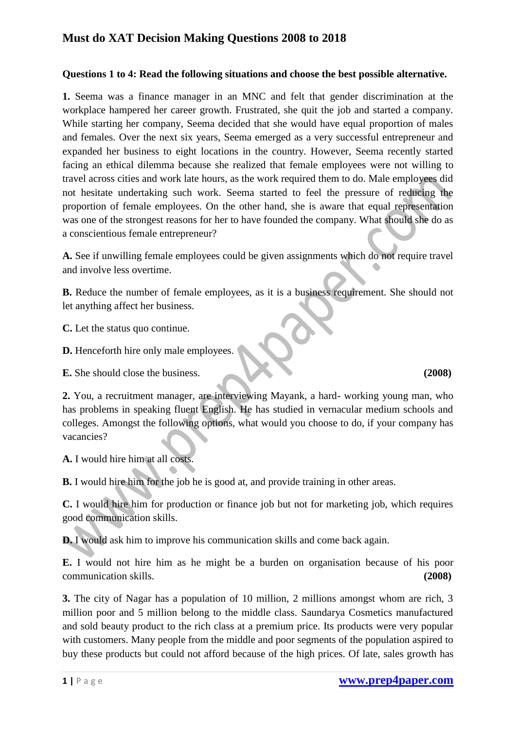#### **Questions 1 to 4: Read the following situations and choose the best possible alternative.**

**1.** Seema was a finance manager in an MNC and felt that gender discrimination at the workplace hampered her career growth. Frustrated, she quit the job and started a company. While starting her company, Seema decided that she would have equal proportion of males and females. Over the next six years, Seema emerged as a very successful entrepreneur and expanded her business to eight locations in the country. However, Seema recently started facing an ethical dilemma because she realized that female employees were not willing to travel across cities and work late hours, as the work required them to do. Male employees did not hesitate undertaking such work. Seema started to feel the pressure of reducing the proportion of female employees. On the other hand, she is aware that equal representation was one of the strongest reasons for her to have founded the company. What should she do as a conscientious female entrepreneur?

**A.** See if unwilling female employees could be given assignments which do not require travel and involve less overtime.

**B.** Reduce the number of female employees, as it is a business requirement. She should not let anything affect her business.

**C.** Let the status quo continue.

**D.** Henceforth hire only male employees.

**E.** She should close the business. **(2008)**

**2.** You, a recruitment manager, are interviewing Mayank, a hard- working young man, who has problems in speaking fluent English. He has studied in vernacular medium schools and colleges. Amongst the following options, what would you choose to do, if your company has vacancies?

**A.** I would hire him at all costs.

**B.** I would hire him for the job he is good at, and provide training in other areas.

**C.** I would hire him for production or finance job but not for marketing job, which requires good communication skills.

**D.** I would ask him to improve his communication skills and come back again.

**E.** I would not hire him as he might be a burden on organisation because of his poor communication skills. **(2008)**

**3.** The city of Nagar has a population of 10 million, 2 millions amongst whom are rich, 3 million poor and 5 million belong to the middle class. Saundarya Cosmetics manufactured and sold beauty product to the rich class at a premium price. Its products were very popular with customers. Many people from the middle and poor segments of the population aspired to buy these products but could not afford because of the high prices. Of late, sales growth has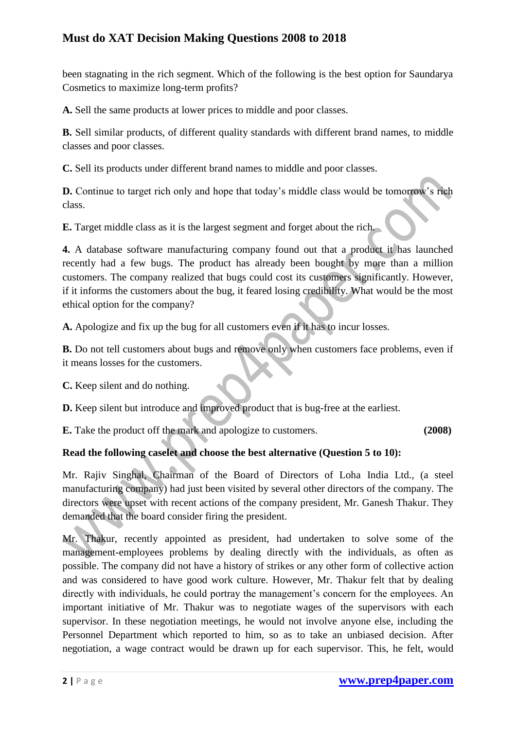been stagnating in the rich segment. Which of the following is the best option for Saundarya Cosmetics to maximize long-term profits?

**A.** Sell the same products at lower prices to middle and poor classes.

**B.** Sell similar products, of different quality standards with different brand names, to middle classes and poor classes.

**C.** Sell its products under different brand names to middle and poor classes.

**D.** Continue to target rich only and hope that today's middle class would be tomorrow's rich class.

**E.** Target middle class as it is the largest segment and forget about the rich.

**4.** A database software manufacturing company found out that a product it has launched recently had a few bugs. The product has already been bought by more than a million customers. The company realized that bugs could cost its customers significantly. However, if it informs the customers about the bug, it feared losing credibility. What would be the most ethical option for the company?

**A.** Apologize and fix up the bug for all customers even if it has to incur losses.

**B.** Do not tell customers about bugs and remove only when customers face problems, even if it means losses for the customers.

**C.** Keep silent and do nothing.

**D.** Keep silent but introduce and improved product that is bug-free at the earliest.

**E.** Take the product off the mark and apologize to customers. **(2008)**

#### **Read the following caselet and choose the best alternative (Question 5 to 10):**

Mr. Rajiv Singhal, Chairman of the Board of Directors of Loha India Ltd., (a steel manufacturing company) had just been visited by several other directors of the company. The directors were upset with recent actions of the company president, Mr. Ganesh Thakur. They demanded that the board consider firing the president.

Mr. Thakur, recently appointed as president, had undertaken to solve some of the management-employees problems by dealing directly with the individuals, as often as possible. The company did not have a history of strikes or any other form of collective action and was considered to have good work culture. However, Mr. Thakur felt that by dealing directly with individuals, he could portray the management's concern for the employees. An important initiative of Mr. Thakur was to negotiate wages of the supervisors with each supervisor. In these negotiation meetings, he would not involve anyone else, including the Personnel Department which reported to him, so as to take an unbiased decision. After negotiation, a wage contract would be drawn up for each supervisor. This, he felt, would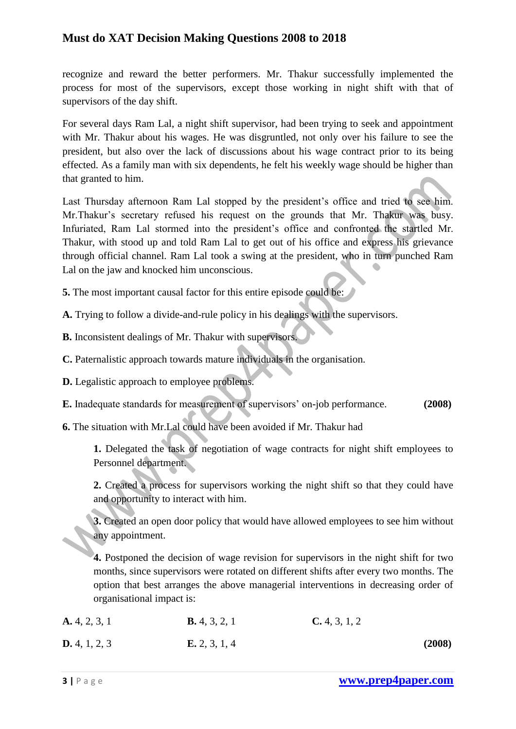recognize and reward the better performers. Mr. Thakur successfully implemented the process for most of the supervisors, except those working in night shift with that of supervisors of the day shift.

For several days Ram Lal, a night shift supervisor, had been trying to seek and appointment with Mr. Thakur about his wages. He was disgruntled, not only over his failure to see the president, but also over the lack of discussions about his wage contract prior to its being effected. As a family man with six dependents, he felt his weekly wage should be higher than that granted to him.

Last Thursday afternoon Ram Lal stopped by the president's office and tried to see him. Mr.Thakur's secretary refused his request on the grounds that Mr. Thakur was busy. Infuriated, Ram Lal stormed into the president's office and confronted the startled Mr. Thakur, with stood up and told Ram Lal to get out of his office and express his grievance through official channel. Ram Lal took a swing at the president, who in turn punched Ram Lal on the jaw and knocked him unconscious.

**5.** The most important causal factor for this entire episode could be:

**A.** Trying to follow a divide-and-rule policy in his dealings with the supervisors.

**B.** Inconsistent dealings of Mr. Thakur with supervisors.

**C.** Paternalistic approach towards mature individuals in the organisation.

**D.** Legalistic approach to employee problems.

**E.** Inadequate standards for measurement of supervisors' on-job performance. **(2008)**

**6.** The situation with Mr.Lal could have been avoided if Mr. Thakur had

**1.** Delegated the task of negotiation of wage contracts for night shift employees to Personnel department.

**2.** Created a process for supervisors working the night shift so that they could have and opportunity to interact with him.

**3.** Created an open door policy that would have allowed employees to see him without any appointment.

**4.** Postponed the decision of wage revision for supervisors in the night shift for two months, since supervisors were rotated on different shifts after every two months. The option that best arranges the above managerial interventions in decreasing order of organisational impact is:

| A. 4, 2, 3, 1        | <b>B.</b> 4, 3, 2, 1 | C. 4, 3, 1, 2 |        |
|----------------------|----------------------|---------------|--------|
| <b>D.</b> 4, 1, 2, 3 | <b>E.</b> 2, 3, 1, 4 |               | (2008) |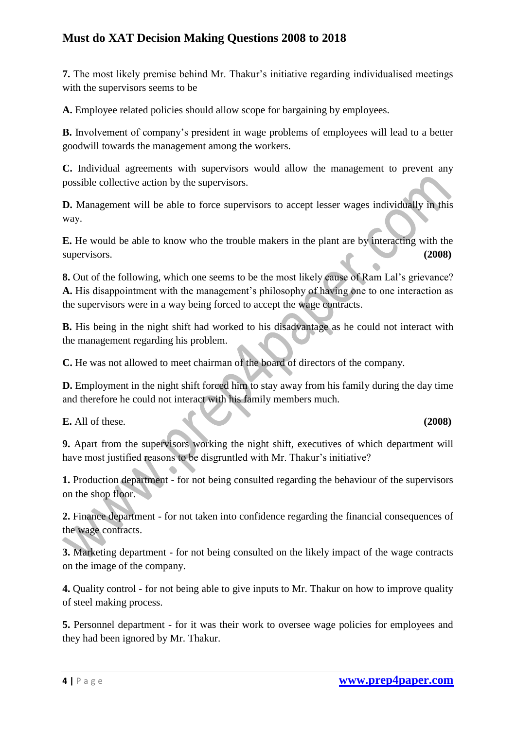**7.** The most likely premise behind Mr. Thakur's initiative regarding individualised meetings with the supervisors seems to be

**A.** Employee related policies should allow scope for bargaining by employees.

**B.** Involvement of company's president in wage problems of employees will lead to a better goodwill towards the management among the workers.

**C.** Individual agreements with supervisors would allow the management to prevent any possible collective action by the supervisors.

**D.** Management will be able to force supervisors to accept lesser wages individually in this way.

**E.** He would be able to know who the trouble makers in the plant are by interacting with the supervisors. **(2008) (2008)** 

**8.** Out of the following, which one seems to be the most likely cause of Ram Lal's grievance? **A.** His disappointment with the management's philosophy of having one to one interaction as the supervisors were in a way being forced to accept the wage contracts.

**B.** His being in the night shift had worked to his disadvantage as he could not interact with the management regarding his problem.

**C.** He was not allowed to meet chairman of the board of directors of the company.

**D.** Employment in the night shift forced him to stay away from his family during the day time and therefore he could not interact with his family members much.

**E.** All of these. **(2008)**

**9.** Apart from the supervisors working the night shift, executives of which department will have most justified reasons to be disgruntled with Mr. Thakur's initiative?

**1.** Production department - for not being consulted regarding the behaviour of the supervisors on the shop floor.

**2.** Finance department - for not taken into confidence regarding the financial consequences of the wage contracts.

**3.** Marketing department - for not being consulted on the likely impact of the wage contracts on the image of the company.

**4.** Quality control - for not being able to give inputs to Mr. Thakur on how to improve quality of steel making process.

**5.** Personnel department - for it was their work to oversee wage policies for employees and they had been ignored by Mr. Thakur.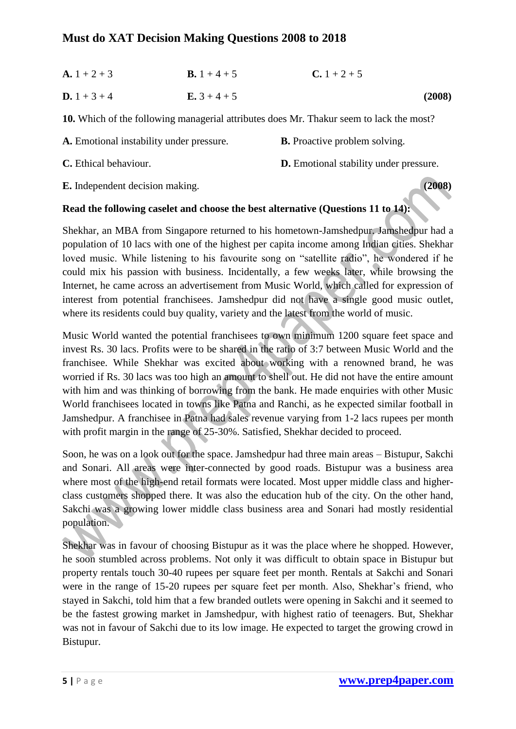| A. $1 + 2 + 3$        | <b>B.</b> $1 + 4 + 5$ | <b>C.</b> $1 + 2 + 5$ |        |
|-----------------------|-----------------------|-----------------------|--------|
| <b>D.</b> $1 + 3 + 4$ | <b>E.</b> 3 + 4 + 5   |                       | (2008) |

**10.** Which of the following managerial attributes does Mr. Thakur seem to lack the most?

**A.** Emotional instability under pressure. **B.** Proactive problem solving.

**C.** Ethical behaviour. **D.** Emotional stability under pressure.

**E.** Independent decision making. **(2008)**

#### **Read the following caselet and choose the best alternative (Questions 11 to 14):**

Shekhar, an MBA from Singapore returned to his hometown-Jamshedpur. Jamshedpur had a population of 10 lacs with one of the highest per capita income among Indian cities. Shekhar loved music. While listening to his favourite song on "satellite radio", he wondered if he could mix his passion with business. Incidentally, a few weeks later, while browsing the Internet, he came across an advertisement from Music World, which called for expression of interest from potential franchisees. Jamshedpur did not have a single good music outlet, where its residents could buy quality, variety and the latest from the world of music.

Music World wanted the potential franchisees to own minimum 1200 square feet space and invest Rs. 30 lacs. Profits were to be shared in the ratio of 3:7 between Music World and the franchisee. While Shekhar was excited about working with a renowned brand, he was worried if Rs. 30 lacs was too high an amount to shell out. He did not have the entire amount with him and was thinking of borrowing from the bank. He made enquiries with other Music World franchisees located in towns like Patna and Ranchi, as he expected similar football in Jamshedpur. A franchisee in Patna had sales revenue varying from 1-2 lacs rupees per month with profit margin in the range of 25-30%. Satisfied, Shekhar decided to proceed.

Soon, he was on a look out for the space. Jamshedpur had three main areas – Bistupur, Sakchi and Sonari. All areas were inter-connected by good roads. Bistupur was a business area where most of the high-end retail formats were located. Most upper middle class and higherclass customers shopped there. It was also the education hub of the city. On the other hand, Sakchi was a growing lower middle class business area and Sonari had mostly residential population.

Shekhar was in favour of choosing Bistupur as it was the place where he shopped. However, he soon stumbled across problems. Not only it was difficult to obtain space in Bistupur but property rentals touch 30-40 rupees per square feet per month. Rentals at Sakchi and Sonari were in the range of 15-20 rupees per square feet per month. Also, Shekhar's friend, who stayed in Sakchi, told him that a few branded outlets were opening in Sakchi and it seemed to be the fastest growing market in Jamshedpur, with highest ratio of teenagers. But, Shekhar was not in favour of Sakchi due to its low image. He expected to target the growing crowd in Bistupur.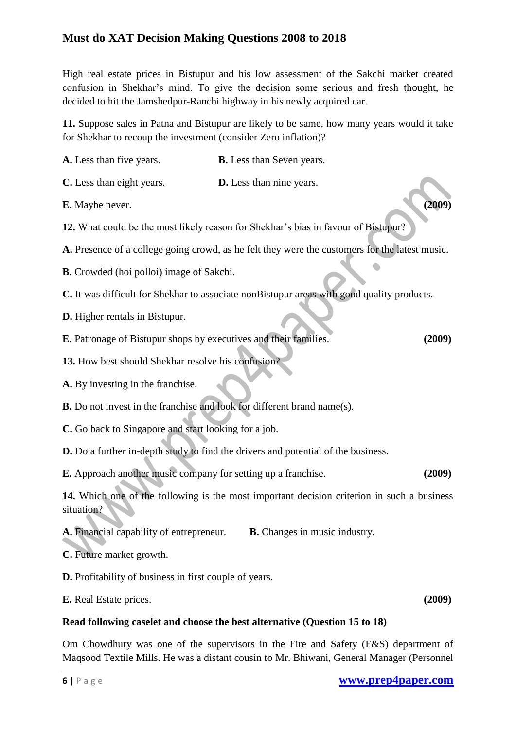High real estate prices in Bistupur and his low assessment of the Sakchi market created confusion in Shekhar's mind. To give the decision some serious and fresh thought, he decided to hit the Jamshedpur-Ranchi highway in his newly acquired car.

**11.** Suppose sales in Patna and Bistupur are likely to be same, how many years would it take for Shekhar to recoup the investment (consider Zero inflation)?

| A. Less than five years. | <b>B.</b> Less than Seven years. |
|--------------------------|----------------------------------|
|--------------------------|----------------------------------|

**C.** Less than eight years. **D.** Less than nine years.

**E.** Maybe never. **(2009)**

**12.** What could be the most likely reason for Shekhar's bias in favour of Bistupur?

**A.** Presence of a college going crowd, as he felt they were the customers for the latest music.

**B.** Crowded (hoi polloi) image of Sakchi.

**C.** It was difficult for Shekhar to associate nonBistupur areas with good quality products.

**D.** Higher rentals in Bistupur.

**E.** Patronage of Bistupur shops by executives and their families. **(2009)**

**13.** How best should Shekhar resolve his confusion?

**A.** By investing in the franchise.

**B.** Do not invest in the franchise and look for different brand name(s).

**C.** Go back to Singapore and start looking for a job.

**D.** Do a further in-depth study to find the drivers and potential of the business.

**E.** Approach another music company for setting up a franchise. **(2009)**

**14.** Which one of the following is the most important decision criterion in such a business situation?

**A.** Financial capability of entrepreneur. **B.** Changes in music industry.

**C.** Future market growth.

**D.** Profitability of business in first couple of years.

**E.** Real Estate prices. **(2009)**

#### **Read following caselet and choose the best alternative (Question 15 to 18)**

Om Chowdhury was one of the supervisors in the Fire and Safety (F&S) department of Maqsood Textile Mills. He was a distant cousin to Mr. Bhiwani, General Manager (Personnel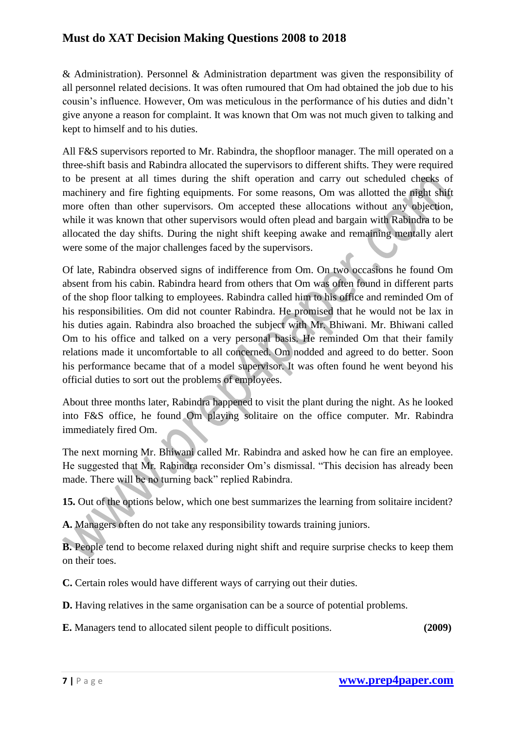& Administration). Personnel & Administration department was given the responsibility of all personnel related decisions. It was often rumoured that Om had obtained the job due to his cousin's influence. However, Om was meticulous in the performance of his duties and didn't give anyone a reason for complaint. It was known that Om was not much given to talking and kept to himself and to his duties.

All F&S supervisors reported to Mr. Rabindra, the shopfloor manager. The mill operated on a three-shift basis and Rabindra allocated the supervisors to different shifts. They were required to be present at all times during the shift operation and carry out scheduled checks of machinery and fire fighting equipments. For some reasons, Om was allotted the night shift more often than other supervisors. Om accepted these allocations without any objection, while it was known that other supervisors would often plead and bargain with Rabindra to be allocated the day shifts. During the night shift keeping awake and remaining mentally alert were some of the major challenges faced by the supervisors.

Of late, Rabindra observed signs of indifference from Om. On two occasions he found Om absent from his cabin. Rabindra heard from others that Om was often found in different parts of the shop floor talking to employees. Rabindra called him to his office and reminded Om of his responsibilities. Om did not counter Rabindra. He promised that he would not be lax in his duties again. Rabindra also broached the subject with Mr. Bhiwani. Mr. Bhiwani called Om to his office and talked on a very personal basis. He reminded Om that their family relations made it uncomfortable to all concerned. Om nodded and agreed to do better. Soon his performance became that of a model supervisor. It was often found he went beyond his official duties to sort out the problems of employees.

About three months later, Rabindra happened to visit the plant during the night. As he looked into F&S office, he found Om playing solitaire on the office computer. Mr. Rabindra immediately fired Om.

The next morning Mr. Bhiwani called Mr. Rabindra and asked how he can fire an employee. He suggested that Mr. Rabindra reconsider Om's dismissal. "This decision has already been made. There will be no turning back" replied Rabindra.

**15.** Out of the options below, which one best summarizes the learning from solitaire incident?

**A.** Managers often do not take any responsibility towards training juniors.

**B.** People tend to become relaxed during night shift and require surprise checks to keep them on their toes.

**C.** Certain roles would have different ways of carrying out their duties.

**D.** Having relatives in the same organisation can be a source of potential problems.

**E.** Managers tend to allocated silent people to difficult positions. **(2009)**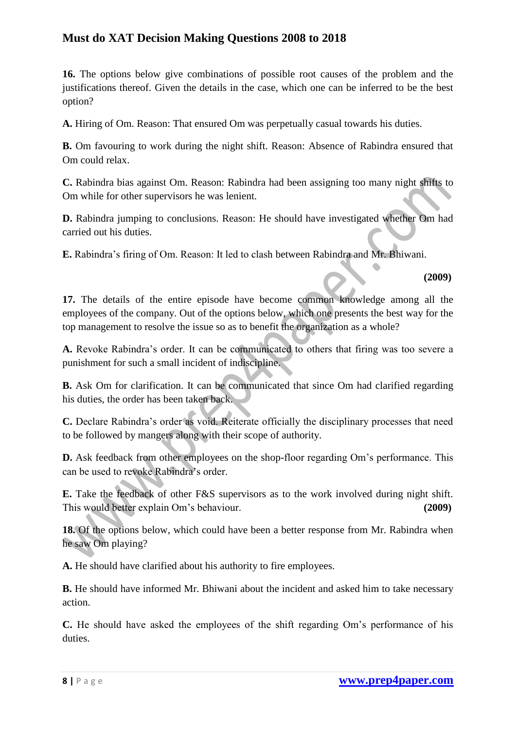**16.** The options below give combinations of possible root causes of the problem and the justifications thereof. Given the details in the case, which one can be inferred to be the best option?

**A.** Hiring of Om. Reason: That ensured Om was perpetually casual towards his duties.

**B.** Om favouring to work during the night shift. Reason: Absence of Rabindra ensured that Om could relax.

**C.** Rabindra bias against Om. Reason: Rabindra had been assigning too many night shifts to Om while for other supervisors he was lenient.

**D.** Rabindra jumping to conclusions. Reason: He should have investigated whether Om had carried out his duties.

**E.** Rabindra's firing of Om. Reason: It led to clash between Rabindra and Mr. Bhiwani.

**(2009)** 

**17.** The details of the entire episode have become common knowledge among all the employees of the company. Out of the options below, which one presents the best way for the top management to resolve the issue so as to benefit the organization as a whole?

**A.** Revoke Rabindra's order. It can be communicated to others that firing was too severe a punishment for such a small incident of indiscipline.

**B.** Ask Om for clarification. It can be communicated that since Om had clarified regarding his duties, the order has been taken back.

**C.** Declare Rabindra's order as void. Reiterate officially the disciplinary processes that need to be followed by mangers along with their scope of authority.

**D.** Ask feedback from other employees on the shop-floor regarding Om's performance. This can be used to revoke Rabindra's order.

**E.** Take the feedback of other F&S supervisors as to the work involved during night shift. This would better explain Om's behaviour. **(2009)**

**18.** Of the options below, which could have been a better response from Mr. Rabindra when he saw Om playing?

**A.** He should have clarified about his authority to fire employees.

**B.** He should have informed Mr. Bhiwani about the incident and asked him to take necessary action.

**C.** He should have asked the employees of the shift regarding Om's performance of his duties.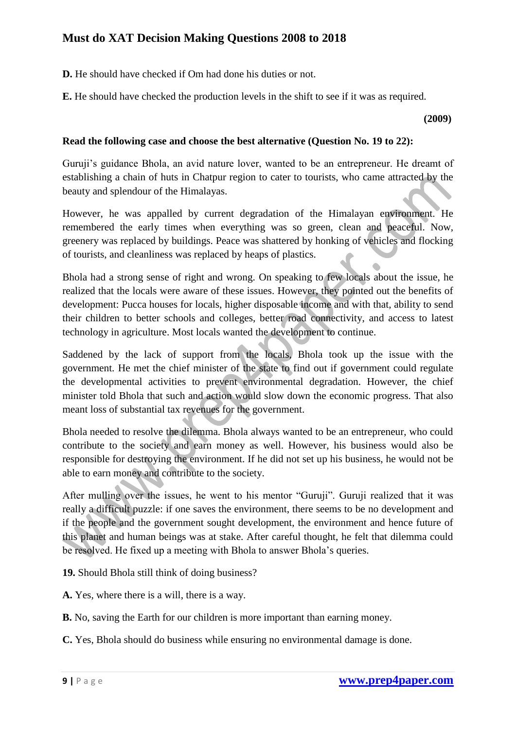**D.** He should have checked if Om had done his duties or not.

**E.** He should have checked the production levels in the shift to see if it was as required.

**(2009)**

#### **Read the following case and choose the best alternative (Question No. 19 to 22):**

Guruji's guidance Bhola, an avid nature lover, wanted to be an entrepreneur. He dreamt of establishing a chain of huts in Chatpur region to cater to tourists, who came attracted by the beauty and splendour of the Himalayas.

However, he was appalled by current degradation of the Himalayan environment. He remembered the early times when everything was so green, clean and peaceful. Now, greenery was replaced by buildings. Peace was shattered by honking of vehicles and flocking of tourists, and cleanliness was replaced by heaps of plastics.

Bhola had a strong sense of right and wrong. On speaking to few locals about the issue, he realized that the locals were aware of these issues. However, they pointed out the benefits of development: Pucca houses for locals, higher disposable income and with that, ability to send their children to better schools and colleges, better road connectivity, and access to latest technology in agriculture. Most locals wanted the development to continue.

Saddened by the lack of support from the locals, Bhola took up the issue with the government. He met the chief minister of the state to find out if government could regulate the developmental activities to prevent environmental degradation. However, the chief minister told Bhola that such and action would slow down the economic progress. That also meant loss of substantial tax revenues for the government.

Bhola needed to resolve the dilemma. Bhola always wanted to be an entrepreneur, who could contribute to the society and earn money as well. However, his business would also be responsible for destroying the environment. If he did not set up his business, he would not be able to earn money and contribute to the society.

After mulling over the issues, he went to his mentor "Guruji". Guruji realized that it was really a difficult puzzle: if one saves the environment, there seems to be no development and if the people and the government sought development, the environment and hence future of this planet and human beings was at stake. After careful thought, he felt that dilemma could be resolved. He fixed up a meeting with Bhola to answer Bhola's queries.

- **19.** Should Bhola still think of doing business?
- **A.** Yes, where there is a will, there is a way.
- **B.** No, saving the Earth for our children is more important than earning money.

**C.** Yes, Bhola should do business while ensuring no environmental damage is done.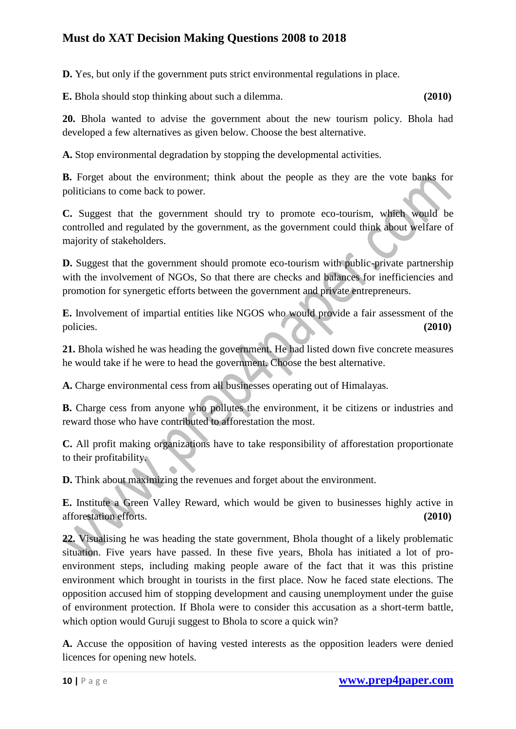**D.** Yes, but only if the government puts strict environmental regulations in place.

**E.** Bhola should stop thinking about such a dilemma. **(2010)**

**20.** Bhola wanted to advise the government about the new tourism policy. Bhola had developed a few alternatives as given below. Choose the best alternative.

**A.** Stop environmental degradation by stopping the developmental activities.

**B.** Forget about the environment; think about the people as they are the vote banks for politicians to come back to power.

**C.** Suggest that the government should try to promote eco-tourism, which would be controlled and regulated by the government, as the government could think about welfare of majority of stakeholders.

**D.** Suggest that the government should promote eco-tourism with public-private partnership with the involvement of NGOs, So that there are checks and balances for inefficiencies and promotion for synergetic efforts between the government and private entrepreneurs.

**E.** Involvement of impartial entities like NGOS who would provide a fair assessment of the policies. **(2010)**

**21.** Bhola wished he was heading the government. He had listed down five concrete measures he would take if he were to head the government. Choose the best alternative.

**A.** Charge environmental cess from all businesses operating out of Himalayas.

**B.** Charge cess from anyone who pollutes the environment, it be citizens or industries and reward those who have contributed to afforestation the most.

**C.** All profit making organizations have to take responsibility of afforestation proportionate to their profitability.

**D.** Think about maximizing the revenues and forget about the environment.

**E.** Institute a Green Valley Reward, which would be given to businesses highly active in afforestation efforts. **(2010)**

**22.** Visualising he was heading the state government, Bhola thought of a likely problematic situation. Five years have passed. In these five years, Bhola has initiated a lot of proenvironment steps, including making people aware of the fact that it was this pristine environment which brought in tourists in the first place. Now he faced state elections. The opposition accused him of stopping development and causing unemployment under the guise of environment protection. If Bhola were to consider this accusation as a short-term battle, which option would Guruji suggest to Bhola to score a quick win?

**A.** Accuse the opposition of having vested interests as the opposition leaders were denied licences for opening new hotels.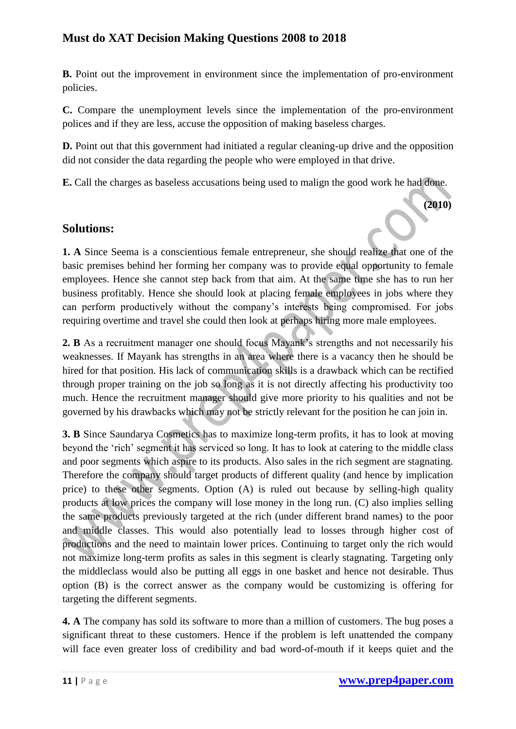**B.** Point out the improvement in environment since the implementation of pro-environment policies.

**C.** Compare the unemployment levels since the implementation of the pro-environment polices and if they are less, accuse the opposition of making baseless charges.

**D.** Point out that this government had initiated a regular cleaning-up drive and the opposition did not consider the data regarding the people who were employed in that drive.

**E.** Call the charges as baseless accusations being used to malign the good work he had done.

**(2010)**

#### **Solutions:**

**1. A** Since Seema is a conscientious female entrepreneur, she should realize that one of the basic premises behind her forming her company was to provide equal opportunity to female employees. Hence she cannot step back from that aim. At the same time she has to run her business profitably. Hence she should look at placing female employees in jobs where they can perform productively without the company's interests being compromised. For jobs requiring overtime and travel she could then look at perhaps hiring more male employees.

**2. B** As a recruitment manager one should focus Mayank's strengths and not necessarily his weaknesses. If Mayank has strengths in an area where there is a vacancy then he should be hired for that position. His lack of communication skills is a drawback which can be rectified through proper training on the job so long as it is not directly affecting his productivity too much. Hence the recruitment manager should give more priority to his qualities and not be governed by his drawbacks which may not be strictly relevant for the position he can join in.

**3. B** Since Saundarya Cosmetics has to maximize long-term profits, it has to look at moving beyond the 'rich' segment it has serviced so long. It has to look at catering to the middle class and poor segments which aspire to its products. Also sales in the rich segment are stagnating. Therefore the company should target products of different quality (and hence by implication price) to these other segments. Option (A) is ruled out because by selling-high quality products at low prices the company will lose money in the long run. (C) also implies selling the same products previously targeted at the rich (under different brand names) to the poor and middle classes. This would also potentially lead to losses through higher cost of productions and the need to maintain lower prices. Continuing to target only the rich would not maximize long-term profits as sales in this segment is clearly stagnating. Targeting only the middleclass would also be putting all eggs in one basket and hence not desirable. Thus option (B) is the correct answer as the company would be customizing is offering for targeting the different segments.

**4. A** The company has sold its software to more than a million of customers. The bug poses a significant threat to these customers. Hence if the problem is left unattended the company will face even greater loss of credibility and bad word-of-mouth if it keeps quiet and the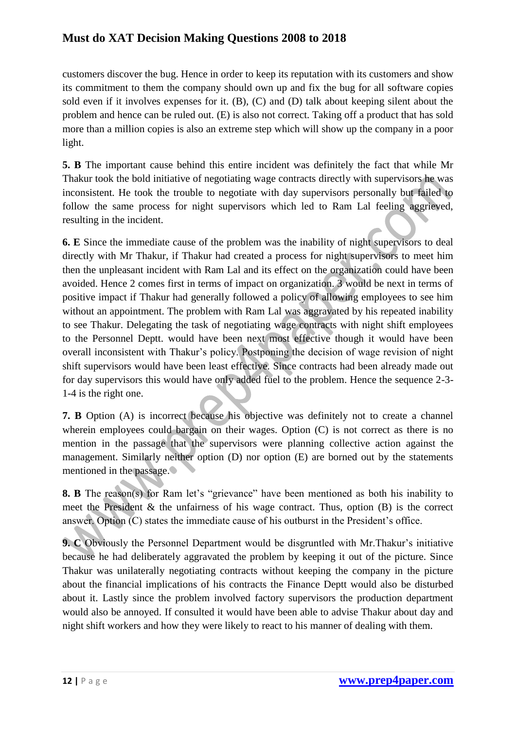customers discover the bug. Hence in order to keep its reputation with its customers and show its commitment to them the company should own up and fix the bug for all software copies sold even if it involves expenses for it. (B), (C) and (D) talk about keeping silent about the problem and hence can be ruled out. (E) is also not correct. Taking off a product that has sold more than a million copies is also an extreme step which will show up the company in a poor light.

**5. B** The important cause behind this entire incident was definitely the fact that while Mr Thakur took the bold initiative of negotiating wage contracts directly with supervisors he was inconsistent. He took the trouble to negotiate with day supervisors personally but failed to follow the same process for night supervisors which led to Ram Lal feeling aggrieved, resulting in the incident.

**6. E** Since the immediate cause of the problem was the inability of night supervisors to deal directly with Mr Thakur, if Thakur had created a process for night supervisors to meet him then the unpleasant incident with Ram Lal and its effect on the organization could have been avoided. Hence 2 comes first in terms of impact on organization. 3 would be next in terms of positive impact if Thakur had generally followed a policy of allowing employees to see him without an appointment. The problem with Ram Lal was aggravated by his repeated inability to see Thakur. Delegating the task of negotiating wage contracts with night shift employees to the Personnel Deptt. would have been next most effective though it would have been overall inconsistent with Thakur's policy. Postponing the decision of wage revision of night shift supervisors would have been least effective. Since contracts had been already made out for day supervisors this would have only added fuel to the problem. Hence the sequence 2-3- 1-4 is the right one.

**7. B** Option (A) is incorrect because his objective was definitely not to create a channel wherein employees could bargain on their wages. Option (C) is not correct as there is no mention in the passage that the supervisors were planning collective action against the management. Similarly neither option (D) nor option (E) are borned out by the statements mentioned in the passage.

**8. B** The reason(s) for Ram let's "grievance" have been mentioned as both his inability to meet the President & the unfairness of his wage contract. Thus, option (B) is the correct answer. Option (C) states the immediate cause of his outburst in the President's office.

**9. C** Obviously the Personnel Department would be disgruntled with Mr.Thakur's initiative because he had deliberately aggravated the problem by keeping it out of the picture. Since Thakur was unilaterally negotiating contracts without keeping the company in the picture about the financial implications of his contracts the Finance Deptt would also be disturbed about it. Lastly since the problem involved factory supervisors the production department would also be annoyed. If consulted it would have been able to advise Thakur about day and night shift workers and how they were likely to react to his manner of dealing with them.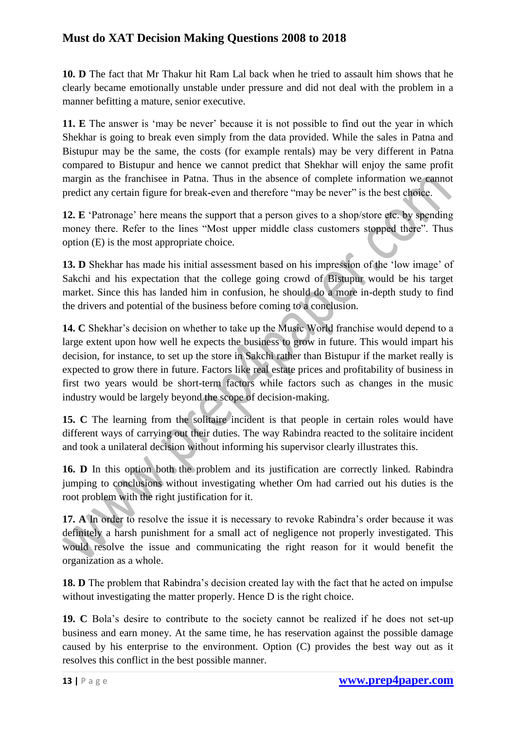**10. D** The fact that Mr Thakur hit Ram Lal back when he tried to assault him shows that he clearly became emotionally unstable under pressure and did not deal with the problem in a manner befitting a mature, senior executive.

**11. E** The answer is 'may be never' because it is not possible to find out the year in which Shekhar is going to break even simply from the data provided. While the sales in Patna and Bistupur may be the same, the costs (for example rentals) may be very different in Patna compared to Bistupur and hence we cannot predict that Shekhar will enjoy the same profit margin as the franchisee in Patna. Thus in the absence of complete information we cannot predict any certain figure for break-even and therefore "may be never" is the best choice.

**12. E** 'Patronage' here means the support that a person gives to a shop/store etc. by spending money there. Refer to the lines "Most upper middle class customers stopped there". Thus option (E) is the most appropriate choice.

13. D Shekhar has made his initial assessment based on his impression of the 'low image' of Sakchi and his expectation that the college going crowd of Bistupur would be his target market. Since this has landed him in confusion, he should do a more in-depth study to find the drivers and potential of the business before coming to a conclusion.

**14. C** Shekhar's decision on whether to take up the Music World franchise would depend to a large extent upon how well he expects the business to grow in future. This would impart his decision, for instance, to set up the store in Sakchi rather than Bistupur if the market really is expected to grow there in future. Factors like real estate prices and profitability of business in first two years would be short-term factors while factors such as changes in the music industry would be largely beyond the scope of decision-making.

**15. C** The learning from the solitaire incident is that people in certain roles would have different ways of carrying out their duties. The way Rabindra reacted to the solitaire incident and took a unilateral decision without informing his supervisor clearly illustrates this.

16. D In this option both the problem and its justification are correctly linked. Rabindra jumping to conclusions without investigating whether Om had carried out his duties is the root problem with the right justification for it.

**17. A** In order to resolve the issue it is necessary to revoke Rabindra's order because it was definitely a harsh punishment for a small act of negligence not properly investigated. This would resolve the issue and communicating the right reason for it would benefit the organization as a whole.

**18. D** The problem that Rabindra's decision created lay with the fact that he acted on impulse without investigating the matter properly. Hence D is the right choice.

**19. C** Bola's desire to contribute to the society cannot be realized if he does not set-up business and earn money. At the same time, he has reservation against the possible damage caused by his enterprise to the environment. Option (C) provides the best way out as it resolves this conflict in the best possible manner.